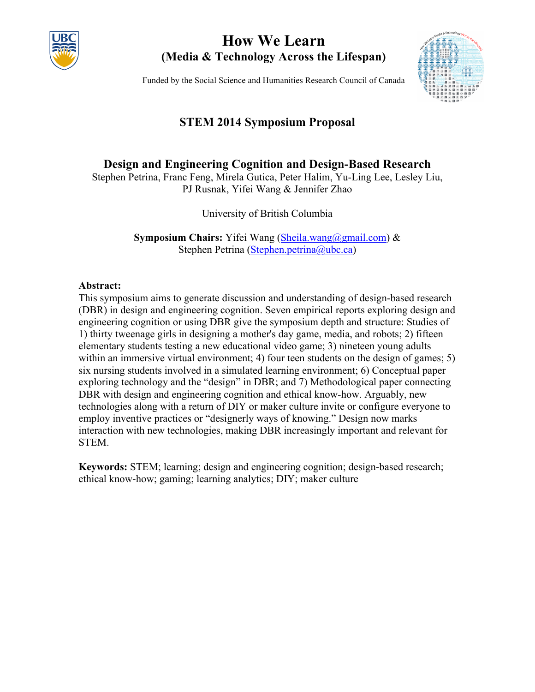

# **How We Learn (Media & Technology Across the Lifespan)**

Funded by the Social Science and Humanities Research Council of Canada



## **STEM 2014 Symposium Proposal**

## **Design and Engineering Cognition and Design-Based Research**

Stephen Petrina, Franc Feng, Mirela Gutica, Peter Halim, Yu-Ling Lee, Lesley Liu, PJ Rusnak, Yifei Wang & Jennifer Zhao

University of British Columbia

**Symposium Chairs:** Yifei Wang (Sheila.wang@gmail.com) & Stephen Petrina (Stephen.petrina@ubc.ca)

## **Abstract:**

This symposium aims to generate discussion and understanding of design-based research (DBR) in design and engineering cognition. Seven empirical reports exploring design and engineering cognition or using DBR give the symposium depth and structure: Studies of 1) thirty tweenage girls in designing a mother's day game, media, and robots; 2) fifteen elementary students testing a new educational video game; 3) nineteen young adults within an immersive virtual environment; 4) four teen students on the design of games; 5) six nursing students involved in a simulated learning environment; 6) Conceptual paper exploring technology and the "design" in DBR; and 7) Methodological paper connecting DBR with design and engineering cognition and ethical know-how. Arguably, new technologies along with a return of DIY or maker culture invite or configure everyone to employ inventive practices or "designerly ways of knowing." Design now marks interaction with new technologies, making DBR increasingly important and relevant for STEM.

**Keywords:** STEM; learning; design and engineering cognition; design-based research; ethical know-how; gaming; learning analytics; DIY; maker culture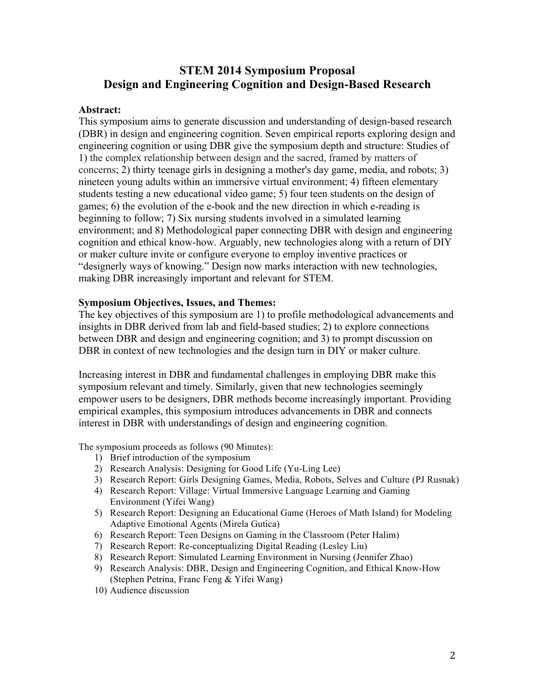## **STEM 2014 Symposium Proposal Design and Engineering Cognition and Design-Based Research**

#### **Abstract:**

This symposium aims to generate discussion and understanding of design-based research (DBR) in design and engineering cognition. Seven empirical reports exploring design and engineering cognition or using DBR give the symposium depth and structure: Studies of 1) the complex relationship between design and the sacred, framed by matters of concerns; 2) thirty teenage girls in designing a mother's day game, media, and robots; 3) nineteen young adults within an immersive virtual environment; 4) fifteen elementary students testing a new educational video game; 5) four teen students on the design of games; 6) the evolution of the e-book and the new direction in which e-reading is beginning to follow; 7) Six nursing students involved in a simulated learning environment; and 8) Methodological paper connecting DBR with design and engineering cognition and ethical know-how. Arguably, new technologies along with a return of DIY or maker culture invite or configure everyone to employ inventive practices or "designerly ways of knowing." Design now marks interaction with new technologies, making DBR increasingly important and relevant for STEM.

#### **Symposium Objectives, Issues, and Themes:**

The key objectives of this symposium are 1) to profile methodological advancements and insights in DBR derived from lab and field-based studies; 2) to explore connections between DBR and design and engineering cognition; and 3) to prompt discussion on DBR in context of new technologies and the design turn in DIY or maker culture.

Increasing interest in DBR and fundamental challenges in employing DBR make this symposium relevant and timely. Similarly, given that new technologies seemingly empower users to be designers, DBR methods become increasingly important. Providing empirical examples, this symposium introduces advancements in DBR and connects interest in DBR with understandings of design and engineering cognition.

The symposium proceeds as follows (90 Minutes):

- 1) Brief introduction of the symposium
- 2) Research Analysis: Designing for Good Life (Yu-Ling Lee)
- 3) Research Report: Girls Designing Games, Media, Robots, Selves and Culture (PJ Rusnak)
- 4) Research Report: Village: Virtual Immersive Language Learning and Gaming Environment (Yifei Wang)
- 5) Research Report: Designing an Educational Game (Heroes of Math Island) for Modeling Adaptive Emotional Agents (Mirela Gutica)
- 6) Research Report: Teen Designs on Gaming in the Classroom (Peter Halim)
- 7) Research Report: Re-conceptualizing Digital Reading (Lesley Liu)
- 8) Research Report: Simulated Learning Environment in Nursing (Jennifer Zhao)
- 9) Research Analysis: DBR, Design and Engineering Cognition, and Ethical Know-How (Stephen Petrina, Franc Feng & Yifei Wang)
- 10) Audience discussion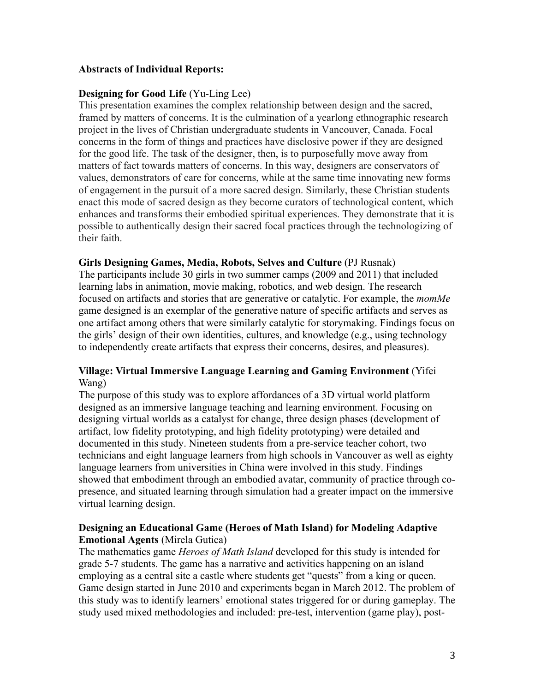### **Abstracts of Individual Reports:**

#### **Designing for Good Life** (Yu-Ling Lee)

This presentation examines the complex relationship between design and the sacred, framed by matters of concerns. It is the culmination of a yearlong ethnographic research project in the lives of Christian undergraduate students in Vancouver, Canada. Focal concerns in the form of things and practices have disclosive power if they are designed for the good life. The task of the designer, then, is to purposefully move away from matters of fact towards matters of concerns. In this way, designers are conservators of values, demonstrators of care for concerns, while at the same time innovating new forms of engagement in the pursuit of a more sacred design. Similarly, these Christian students enact this mode of sacred design as they become curators of technological content, which enhances and transforms their embodied spiritual experiences. They demonstrate that it is possible to authentically design their sacred focal practices through the technologizing of their faith.

#### **Girls Designing Games, Media, Robots, Selves and Culture** (PJ Rusnak)

The participants include 30 girls in two summer camps (2009 and 2011) that included learning labs in animation, movie making, robotics, and web design. The research focused on artifacts and stories that are generative or catalytic. For example, the *momMe* game designed is an exemplar of the generative nature of specific artifacts and serves as one artifact among others that were similarly catalytic for storymaking. Findings focus on the girls' design of their own identities, cultures, and knowledge (e.g., using technology to independently create artifacts that express their concerns, desires, and pleasures).

#### **Village: Virtual Immersive Language Learning and Gaming Environment** (Yifei Wang)

The purpose of this study was to explore affordances of a 3D virtual world platform designed as an immersive language teaching and learning environment. Focusing on designing virtual worlds as a catalyst for change, three design phases (development of artifact, low fidelity prototyping, and high fidelity prototyping) were detailed and documented in this study. Nineteen students from a pre-service teacher cohort, two technicians and eight language learners from high schools in Vancouver as well as eighty language learners from universities in China were involved in this study. Findings showed that embodiment through an embodied avatar, community of practice through copresence, and situated learning through simulation had a greater impact on the immersive virtual learning design.

### **Designing an Educational Game (Heroes of Math Island) for Modeling Adaptive Emotional Agents** (Mirela Gutica)

The mathematics game *Heroes of Math Island* developed for this study is intended for grade 5-7 students. The game has a narrative and activities happening on an island employing as a central site a castle where students get "quests" from a king or queen. Game design started in June 2010 and experiments began in March 2012. The problem of this study was to identify learners' emotional states triggered for or during gameplay. The study used mixed methodologies and included: pre-test, intervention (game play), post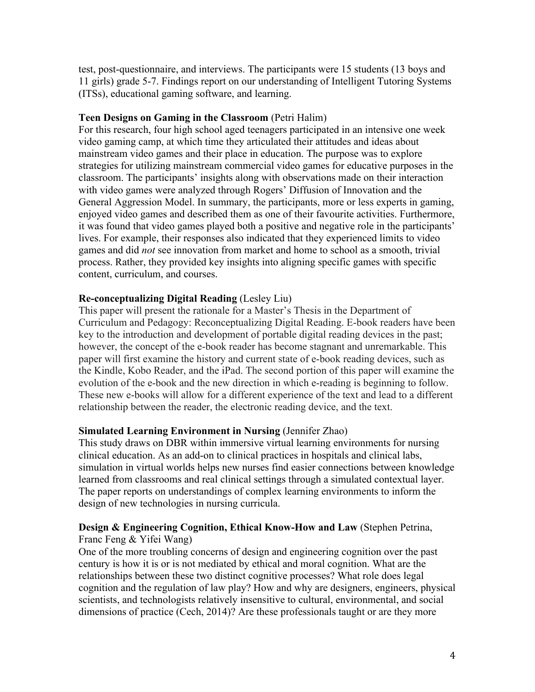test, post-questionnaire, and interviews. The participants were 15 students (13 boys and 11 girls) grade 5-7. Findings report on our understanding of Intelligent Tutoring Systems (ITSs), educational gaming software, and learning.

### **Teen Designs on Gaming in the Classroom** (Petri Halim)

For this research, four high school aged teenagers participated in an intensive one week video gaming camp, at which time they articulated their attitudes and ideas about mainstream video games and their place in education. The purpose was to explore strategies for utilizing mainstream commercial video games for educative purposes in the classroom. The participants' insights along with observations made on their interaction with video games were analyzed through Rogers' Diffusion of Innovation and the General Aggression Model. In summary, the participants, more or less experts in gaming, enjoyed video games and described them as one of their favourite activities. Furthermore, it was found that video games played both a positive and negative role in the participants' lives. For example, their responses also indicated that they experienced limits to video games and did *not* see innovation from market and home to school as a smooth, trivial process. Rather, they provided key insights into aligning specific games with specific content, curriculum, and courses.

## **Re-conceptualizing Digital Reading** (Lesley Liu)

This paper will present the rationale for a Master's Thesis in the Department of Curriculum and Pedagogy: Reconceptualizing Digital Reading. E-book readers have been key to the introduction and development of portable digital reading devices in the past; however, the concept of the e-book reader has become stagnant and unremarkable. This paper will first examine the history and current state of e-book reading devices, such as the Kindle, Kobo Reader, and the iPad. The second portion of this paper will examine the evolution of the e-book and the new direction in which e-reading is beginning to follow. These new e-books will allow for a different experience of the text and lead to a different relationship between the reader, the electronic reading device, and the text.

#### **Simulated Learning Environment in Nursing** (Jennifer Zhao)

This study draws on DBR within immersive virtual learning environments for nursing clinical education. As an add-on to clinical practices in hospitals and clinical labs, simulation in virtual worlds helps new nurses find easier connections between knowledge learned from classrooms and real clinical settings through a simulated contextual layer. The paper reports on understandings of complex learning environments to inform the design of new technologies in nursing curricula.

#### **Design & Engineering Cognition, Ethical Know-How and Law** (Stephen Petrina, Franc Feng & Yifei Wang)

One of the more troubling concerns of design and engineering cognition over the past century is how it is or is not mediated by ethical and moral cognition. What are the relationships between these two distinct cognitive processes? What role does legal cognition and the regulation of law play? How and why are designers, engineers, physical scientists, and technologists relatively insensitive to cultural, environmental, and social dimensions of practice (Cech, 2014)? Are these professionals taught or are they more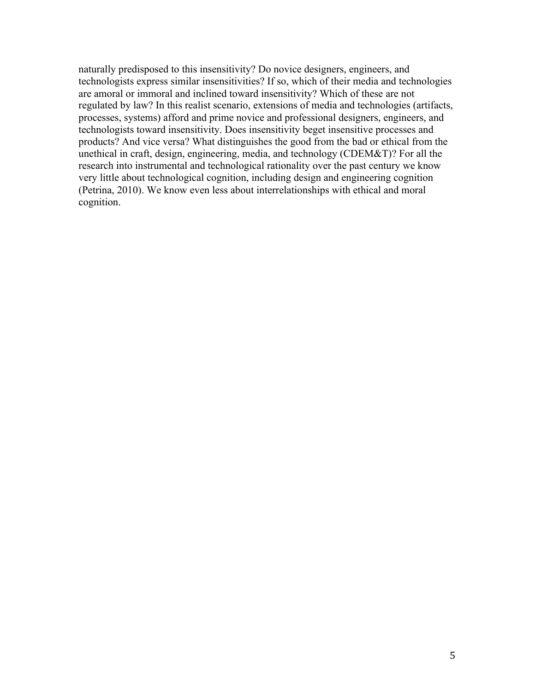naturally predisposed to this insensitivity? Do novice designers, engineers, and technologists express similar insensitivities? If so, which of their media and technologies are amoral or immoral and inclined toward insensitivity? Which of these are not regulated by law? In this realist scenario, extensions of media and technologies (artifacts, processes, systems) afford and prime novice and professional designers, engineers, and technologists toward insensitivity. Does insensitivity beget insensitive processes and products? And vice versa? What distinguishes the good from the bad or ethical from the unethical in craft, design, engineering, media, and technology (CDEM&T)? For all the research into instrumental and technological rationality over the past century we know very little about technological cognition, including design and engineering cognition (Petrina, 2010). We know even less about interrelationships with ethical and moral cognition.